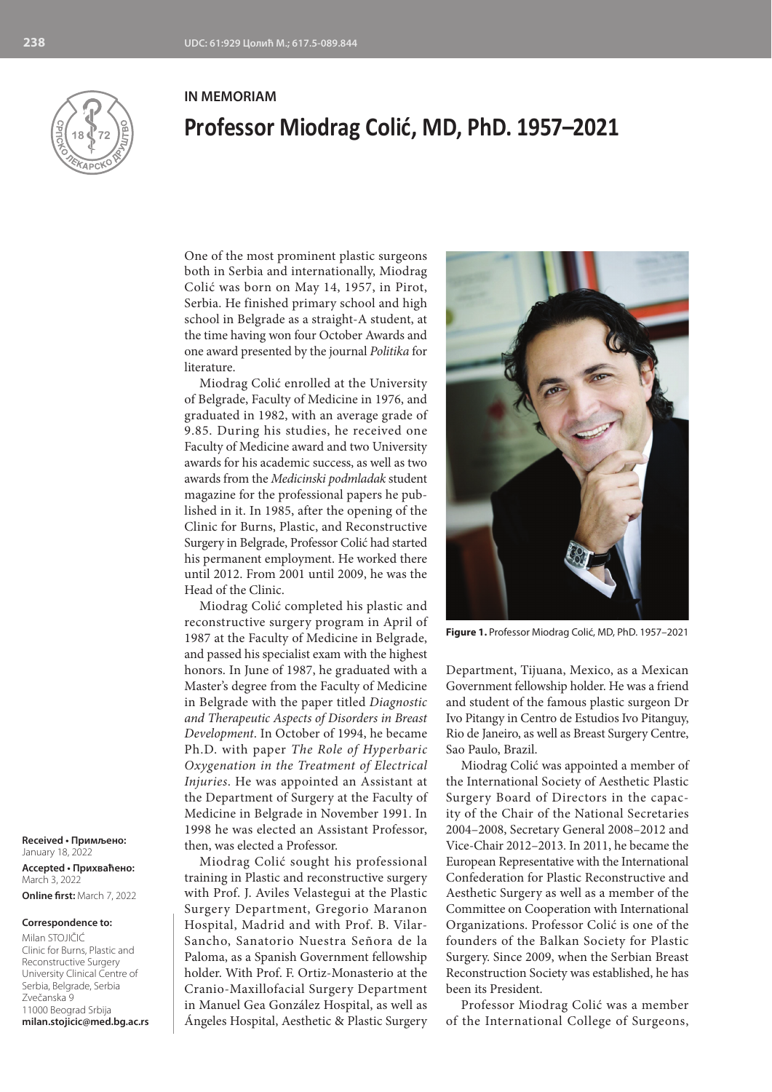**IN MEMORIAM**



## **Professor Miodrag Colić, MD, PhD. 1957–2021**

One of the most prominent plastic surgeons both in Serbia and internationally, Miodrag Colić was born on May 14, 1957, in Pirot, Serbia. He finished primary school and high school in Belgrade as a straight-A student, at the time having won four October Awards and one award presented by the journal *Politika* for literature.

Miodrag Colić enrolled at the University of Belgrade, Faculty of Medicine in 1976, and graduated in 1982, with an average grade of 9.85. During his studies, he received one Faculty of Medicine award and two University awards for his academic success, as well as two awards from the *Medicinski podmladak* student magazine for the professional papers he published in it. In 1985, after the opening of the Clinic for Burns, Plastic, and Reconstructive Surgery in Belgrade, Professor Colić had started his permanent employment. He worked there until 2012. From 2001 until 2009, he was the Head of the Clinic.

Miodrag Colić completed his plastic and reconstructive surgery program in April of 1987 at the Faculty of Medicine in Belgrade, and passed his specialist exam with the highest honors. In June of 1987, he graduated with a Master's degree from the Faculty of Medicine in Belgrade with the paper titled *Diagnostic and Therapeutic Aspects of Disorders in Breast Development*. In October of 1994, he became Ph.D. with paper *The Role of Hyperbaric Oxygenation in the Treatment of Electrical Injuries*. He was appointed an Assistant at the Department of Surgery at the Faculty of Medicine in Belgrade in November 1991. In 1998 he was elected an Assistant Professor, then, was elected a Professor.

Miodrag Colić sought his professional training in Plastic and reconstructive surgery with Prof. J. Aviles Velastegui at the Plastic Surgery Department, Gregorio Maranon Hospital, Madrid and with Prof. B. Vilar-Sancho, Sanatorio Nuestra Señora de la Paloma, as a Spanish Government fellowship holder. With Prof. F. Ortiz-Monasterio at the Cranio-Maxillofacial Surgery Department in Manuel Gea González Hospital, as well as Ángeles Hospital, Aesthetic & Plastic Surgery



**Figure 1.** Professor Miodrag Colić, MD, PhD. 1957–2021

Department, Tijuana, Mexico, as a Mexican Government fellowship holder. He was a friend and student of the famous plastic surgeon Dr Ivo Pitangy in Centro de Estudios Ivo Pitanguy, Rio de Janeiro, as well as Breast Surgery Centre, Sao Paulo, Brazil.

Miodrag Colić was appointed a member of the International Society of Aesthetic Plastic Surgery Board of Directors in the capacity of the Chair of the National Secretaries 2004–2008, Secretary General 2008–2012 and Vice-Chair 2012–2013. In 2011, he became the European Representative with the International Confederation for Plastic Reconstructive and Aesthetic Surgery as well as a member of the Committee on Cooperation with International Organizations. Professor Colić is one of the founders of the Balkan Society for Plastic Surgery. Since 2009, when the Serbian Breast Reconstruction Society was established, he has been its President.

Professor Miodrag Colić was a member of the International College of Surgeons,

**Received • Примљено:**  January 18, 2022 **Accepted • Прихваћено:** March 3, 2022 **Online first:** March 7, 2022

## **Correspondence to:**

Milan STOJIČIĆ Clinic for Burns, Plastic and Reconstructive Surgery University Clinical Centre of Serbia, Belgrade, Serbia Zvečanska 9 11000 Beograd Srbija **milan.stojicic@med.bg.ac.rs**